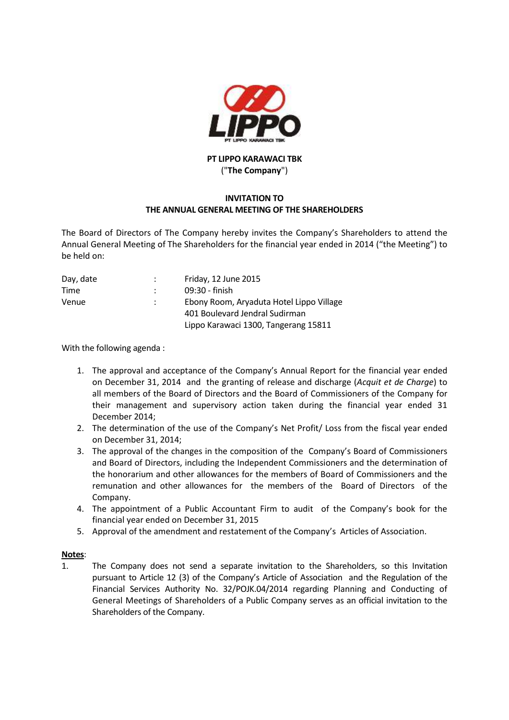

## **PT LIPPO KARAWACI TBK** ("**The Company**")

## **INVITATION TO THE ANNUAL GENERAL MEETING OF THE SHAREHOLDERS**

The Board of Directors of The Company hereby invites the Company's Shareholders to attend the Annual General Meeting of The Shareholders for the financial year ended in 2014 ("the Meeting") to be held on:

| Day, date | Friday, 12 June 2015                     |
|-----------|------------------------------------------|
| Time      | 09:30 - finish                           |
| Venue     | Ebony Room, Aryaduta Hotel Lippo Village |
|           | 401 Boulevard Jendral Sudirman           |
|           | Lippo Karawaci 1300, Tangerang 15811     |

With the following agenda :

- 1. The approval and acceptance of the Company's Annual Report for the financial year ended on December 31, 2014 and the granting of release and discharge (*Acquit et de Charge*) to all members of the Board of Directors and the Board of Commissioners of the Company for their management and supervisory action taken during the financial year ended 31 December 2014;
- 2. The determination of the use of the Company's Net Profit/ Loss from the fiscal year ended on December 31, 2014;
- 3. The approval of the changes in the composition of the Company's Board of Commissioners and Board of Directors, including the Independent Commissioners and the determination of the honorarium and other allowances for the members of Board of Commissioners and the remunation and other allowances for the members of the Board of Directors of the Company.
- 4. The appointment of a Public Accountant Firm to audit of the Company's book for the financial year ended on December 31, 2015
- 5. Approval of the amendment and restatement of the Company's Articles of Association.

## **Notes**:

1. The Company does not send a separate invitation to the Shareholders, so this Invitation pursuant to Article 12 (3) of the Company's Article of Association and the Regulation of the Financial Services Authority No. 32/POJK.04/2014 regarding Planning and Conducting of General Meetings of Shareholders of a Public Company serves as an official invitation to the Shareholders of the Company.